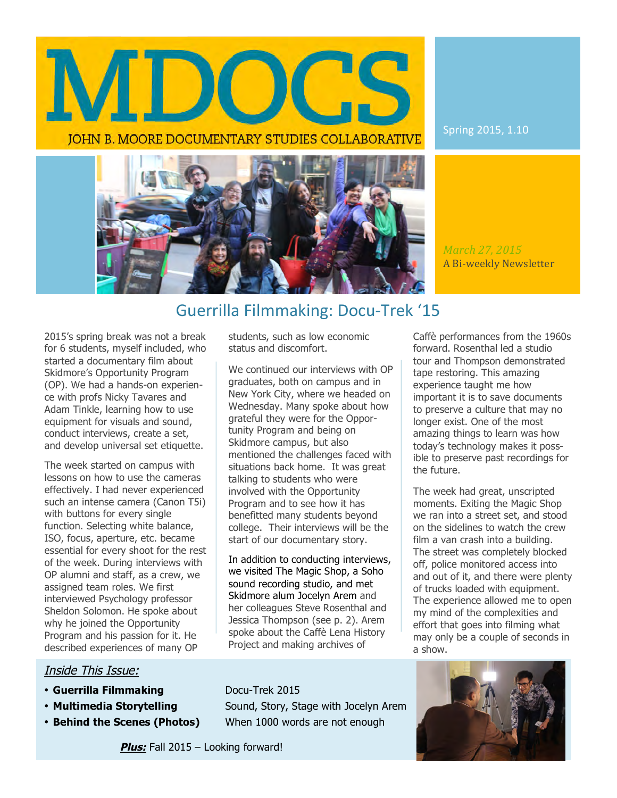

JOHN B. MOORE DOCUMENTARY STUDIES COLLABORATIVE



Spring 2015, 1.10

*March 27, 2015* A Bi-weekly Newsletter 

2015's spring break was not a break for 6 students, myself included, who started a documentary film about Skidmore's Opportunity Program (OP). We had a hands-on experience with profs Nicky Tavares and Adam Tinkle, learning how to use equipment for visuals and sound, conduct interviews, create a set, and develop universal set etiquette.

The week started on campus with lessons on how to use the cameras effectively. I had never experienced such an intense camera (Canon T5i) with buttons for every single function. Selecting white balance, ISO, focus, aperture, etc. became essential for every shoot for the rest of the week. During interviews with OP alumni and staff, as a crew, we assigned team roles. We first interviewed Psychology professor Sheldon Solomon. He spoke about why he joined the Opportunity Program and his passion for it. He described experiences of many OP

#### Inside This Issue:

- **Guerrilla Filmmaking Docu-Trek 2015**
- 
- **Behind the Scenes (Photos)** When 1000 words are not enough

# Guerrilla Filmmaking: Docu-Trek '15

students, such as low economic status and discomfort.

We continued our interviews with OP graduates, both on campus and in New York City, where we headed on Wednesday. Many spoke about how grateful they were for the Opportunity Program and being on Skidmore campus, but also mentioned the challenges faced with situations back home. It was great talking to students who were involved with the Opportunity Program and to see how it has benefitted many students beyond college. Their interviews will be the start of our documentary story.

In addition to conducting interviews, we visited The Magic Shop, a Soho sound recording studio, and met Skidmore alum Jocelyn Arem and her colleagues Steve Rosenthal and Jessica Thompson (see p. 2). Arem spoke about the Caffè Lena History Project and making archives of

forward. Rosenthal led a studio tour and Thompson demonstrated tape restoring. This amazing experience taught me how important it is to save documents to preserve a culture that may no longer exist. One of the most amazing things to learn was how today's technology makes it possible to preserve past recordings for the future.

Caffè performances from the 1960s

The week had great, unscripted moments. Exiting the Magic Shop we ran into a street set, and stood on the sidelines to watch the crew film a van crash into a building. The street was completely blocked off, police monitored access into and out of it, and there were plenty of trucks loaded with equipment. The experience allowed me to open my mind of the complexities and effort that goes into filming what may only be a couple of seconds in a show.



• **Multimedia Storytelling** Sound, Story, Stage with Jocelyn Arem

**Plus:** Fall 2015 – Looking forward!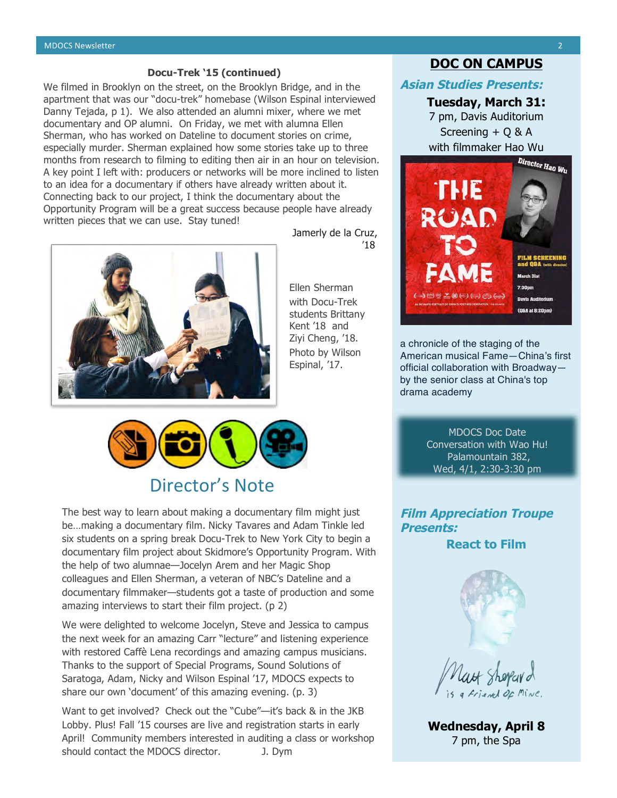#### **Docu-Trek '15 (continued)**

We filmed in Brooklyn on the street, on the Brooklyn Bridge, and in the apartment that was our "docu-trek" homebase (Wilson Espinal interviewed Danny Tejada, p 1). We also attended an alumni mixer, where we met documentary and OP alumni. On Friday, we met with alumna Ellen Sherman, who has worked on Dateline to document stories on crime, especially murder. Sherman explained how some stories take up to three months from research to filming to editing then air in an hour on television. A key point I left with: producers or networks will be more inclined to listen to an idea for a documentary if others have already written about it. Connecting back to our project, I think the documentary about the Opportunity Program will be a great success because people have already written pieces that we can use. Stay tuned!



Jamerly de la Cruz, '18

Ellen Sherman with Docu-Trek students Brittany Kent '18 and Ziyi Cheng, '18. Photo by Wilson Espinal, '17.



# Director's Note

The best way to learn about making a documentary film might just be…making a documentary film. Nicky Tavares and Adam Tinkle led six students on a spring break Docu-Trek to New York City to begin a documentary film project about Skidmore's Opportunity Program. With the help of two alumnae—Jocelyn Arem and her Magic Shop colleagues and Ellen Sherman, a veteran of NBC's Dateline and a documentary filmmaker—students got a taste of production and some amazing interviews to start their film project. (p 2)

We were delighted to welcome Jocelyn, Steve and Jessica to campus the next week for an amazing Carr "lecture" and listening experience with restored Caffè Lena recordings and amazing campus musicians. Thanks to the support of Special Programs, Sound Solutions of Saratoga, Adam, Nicky and Wilson Espinal '17, MDOCS expects to share our own 'document' of this amazing evening. (p. 3)

Want to get involved? Check out the "Cube"-it's back & in the JKB Lobby. Plus! Fall '15 courses are live and registration starts in early April! Community members interested in auditing a class or workshop should contact the MDOCS director. **J. Dym** 

## **DOC ON CAMPUS**

#### **Asian Studies Presents:**

### **Tuesday, March 31:**

7 pm, Davis Auditorium Screening + Q & A with filmmaker Hao Wu



a chronicle of the staging of the American musical Fame—China's first official collaboration with Broadway by the senior class at China's top drama academy

> MDOCS Doc Date Conversation with Wao Hu! Palamountain 382, Wed, 4/1, 2:30-3:30 pm

**Film Appreciation Troupe Presents: React to Film**



**Wednesday, April 8** 7 pm, the Spa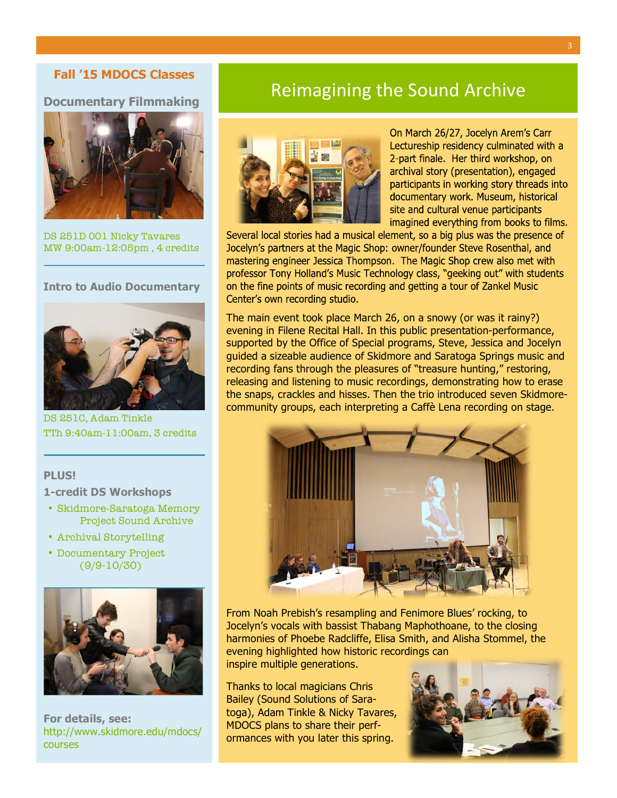### **Fall '15 MDOCS Classes**

**Documentary Filmmaking**



DS 251D 001 Nicky Tavares MW 9:00am-12:05pm , 4 credits

#### **Intro to Audio Documentary**



DS 251C, Adam Tinkle TTh 9:40am-11:00am, 3 credits

### **PLUS!**

#### **1-credit DS Workshops**

- Skidmore-Saratoga Memory Project Sound Archive
- Archival Storytelling
- Documentary Project (9/9-10/30)



**For details, see:** http://www.skidmore.edu/mdocs/ courses

# **Reimagining the Sound Archive**



On March 26/27, Jocelyn Arem's Carr Lectureship residency culminated with a 2-part finale. Her third workshop, on archival story (presentation), engaged participants in working story threads into documentary work. Museum, historical site and cultural venue participants imagined everything from books to films.

Several local stories had a musical element, so a big plus was the presence of Jocelyn's partners at the Magic Shop: owner/founder Steve Rosenthal, and mastering engineer Jessica Thompson. The Magic Shop crew also met with professor Tony Holland's Music Technology class, "geeking out" with students on the fine points of music recording and getting a tour of Zankel Music Center's own recording studio.

The main event took place March 26, on a snowy (or was it rainy?) evening in Filene Recital Hall. In this public presentation-performance, supported by the Office of Special programs, Steve, Jessica and Jocelyn guided a sizeable audience of Skidmore and Saratoga Springs music and recording fans through the pleasures of "treasure hunting," restoring, releasing and listening to music recordings, demonstrating how to erase the snaps, crackles and hisses. Then the trio introduced seven Skidmorecommunity groups, each interpreting a Caffè Lena recording on stage.



From Noah Prebish's resampling and Fenimore Blues' rocking, to Jocelyn's vocals with bassist Thabang Maphothoane, to the closing harmonies of Phoebe Radcliffe, Elisa Smith, and Alisha Stommel, the evening highlighted how historic recordings can inspire multiple generations.

Thanks to local magicians Chris Bailey (Sound Solutions of Saratoga), Adam Tinkle & Nicky Tavares, MDOCS plans to share their performances with you later this spring.